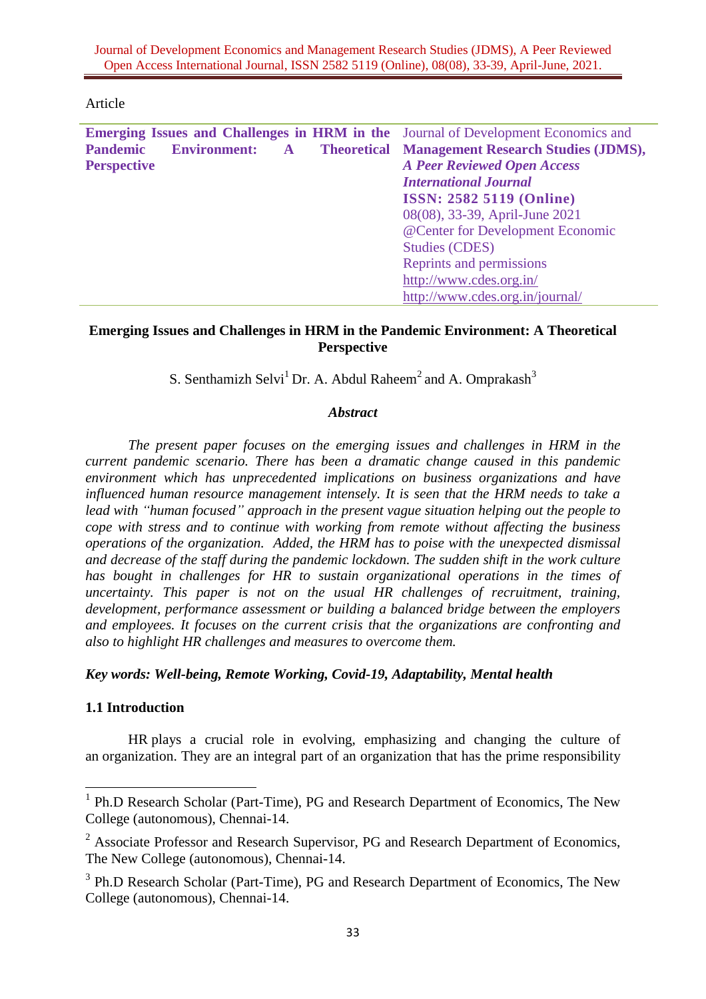Article

| Emerging Issues and Challenges in HRM in the Journal of Development Economics and |                                                        |
|-----------------------------------------------------------------------------------|--------------------------------------------------------|
| <b>Pandemic</b><br><b>Environment:</b><br>$\mathbf{A}$                            | <b>Theoretical Management Research Studies (JDMS),</b> |
| <b>Perspective</b>                                                                | <b>A Peer Reviewed Open Access</b>                     |
|                                                                                   | <b>International Journal</b>                           |
|                                                                                   | <b>ISSN: 2582 5119 (Online)</b>                        |
|                                                                                   | 08(08), 33-39, April-June 2021                         |
|                                                                                   | @Center for Development Economic                       |
|                                                                                   | <b>Studies (CDES)</b>                                  |
|                                                                                   | Reprints and permissions                               |
|                                                                                   | http://www.cdes.org.in/                                |
|                                                                                   | http://www.cdes.org.in/journal/                        |
|                                                                                   |                                                        |

## **Emerging Issues and Challenges in HRM in the Pandemic Environment: A Theoretical Perspective**

S. Senthamizh Selvi<sup>1</sup> Dr. A. Abdul Raheem<sup>2</sup> and A. Omprakash<sup>3</sup>

## *Abstract*

*The present paper focuses on the emerging issues and challenges in HRM in the current pandemic scenario. There has been a dramatic change caused in this pandemic environment which has unprecedented implications on business organizations and have influenced human resource management intensely. It is seen that the HRM needs to take a lead with "human focused" approach in the present vague situation helping out the people to cope with stress and to continue with working from remote without affecting the business operations of the organization. Added, the HRM has to poise with the unexpected dismissal and decrease of the staff during the pandemic lockdown. The sudden shift in the work culture has bought in challenges for HR to sustain organizational operations in the times of uncertainty. This paper is not on the usual HR challenges of recruitment, training, development, performance assessment or building a balanced bridge between the employers and employees. It focuses on the current crisis that the organizations are confronting and also to highlight HR challenges and measures to overcome them.*

# *Key words: Well-being, Remote Working, Covid-19, Adaptability, Mental health*

### **1.1 Introduction**

 $\overline{\phantom{a}}$ 

HR plays a crucial role in evolving, emphasizing and changing the culture of an organization. They are an integral part of an organization that has the prime responsibility

<sup>&</sup>lt;sup>1</sup> Ph.D Research Scholar (Part-Time), PG and Research Department of Economics, The New College (autonomous), Chennai-14.

<sup>&</sup>lt;sup>2</sup> Associate Professor and Research Supervisor, PG and Research Department of Economics, The New College (autonomous), Chennai-14.

<sup>&</sup>lt;sup>3</sup> Ph.D Research Scholar (Part-Time), PG and Research Department of Economics, The New College (autonomous), Chennai-14.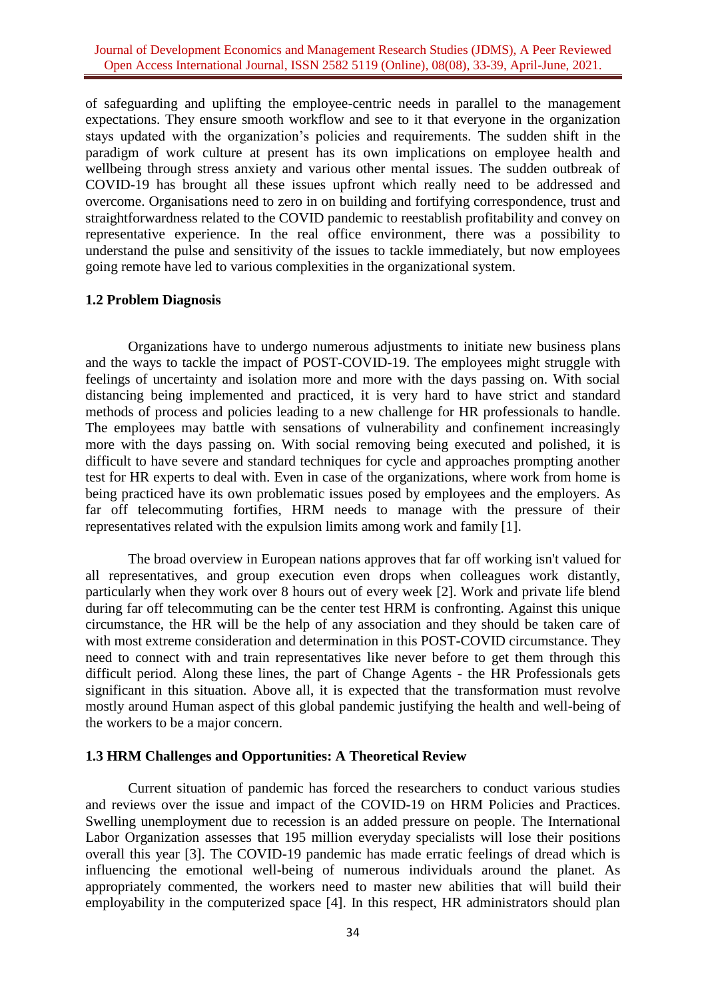of safeguarding and uplifting the employee-centric needs in parallel to the management expectations. They ensure smooth workflow and see to it that everyone in the organization stays updated with the organization's policies and requirements. The sudden shift in the paradigm of work culture at present has its own implications on employee health and wellbeing through stress anxiety and various other mental issues. The sudden outbreak of COVID-19 has brought all these issues upfront which really need to be addressed and overcome. Organisations need to zero in on building and fortifying correspondence, trust and straightforwardness related to the COVID pandemic to reestablish profitability and convey on representative experience. In the real office environment, there was a possibility to understand the pulse and sensitivity of the issues to tackle immediately, but now employees going remote have led to various complexities in the organizational system.

#### **1.2 Problem Diagnosis**

Organizations have to undergo numerous adjustments to initiate new business plans and the ways to tackle the impact of POST-COVID-19. The employees might struggle with feelings of uncertainty and isolation more and more with the days passing on. With social distancing being implemented and practiced, it is very hard to have strict and standard methods of process and policies leading to a new challenge for HR professionals to handle. The employees may battle with sensations of vulnerability and confinement increasingly more with the days passing on. With social removing being executed and polished, it is difficult to have severe and standard techniques for cycle and approaches prompting another test for HR experts to deal with. Even in case of the organizations, where work from home is being practiced have its own problematic issues posed by employees and the employers. As far off telecommuting fortifies, HRM needs to manage with the pressure of their representatives related with the expulsion limits among work and family [1].

The broad overview in European nations approves that far off working isn't valued for all representatives, and group execution even drops when colleagues work distantly, particularly when they work over 8 hours out of every week [2]. Work and private life blend during far off telecommuting can be the center test HRM is confronting. Against this unique circumstance, the HR will be the help of any association and they should be taken care of with most extreme consideration and determination in this POST-COVID circumstance. They need to connect with and train representatives like never before to get them through this difficult period. Along these lines, the part of Change Agents - the HR Professionals gets significant in this situation. Above all, it is expected that the transformation must revolve mostly around Human aspect of this global pandemic justifying the health and well-being of the workers to be a major concern.

#### **1.3 HRM Challenges and Opportunities: A Theoretical Review**

Current situation of pandemic has forced the researchers to conduct various studies and reviews over the issue and impact of the COVID-19 on HRM Policies and Practices. Swelling unemployment due to recession is an added pressure on people. The International Labor Organization assesses that 195 million everyday specialists will lose their positions overall this year [3]. The COVID-19 pandemic has made erratic feelings of dread which is influencing the emotional well-being of numerous individuals around the planet. As appropriately commented, the workers need to master new abilities that will build their employability in the computerized space [4]. In this respect, HR administrators should plan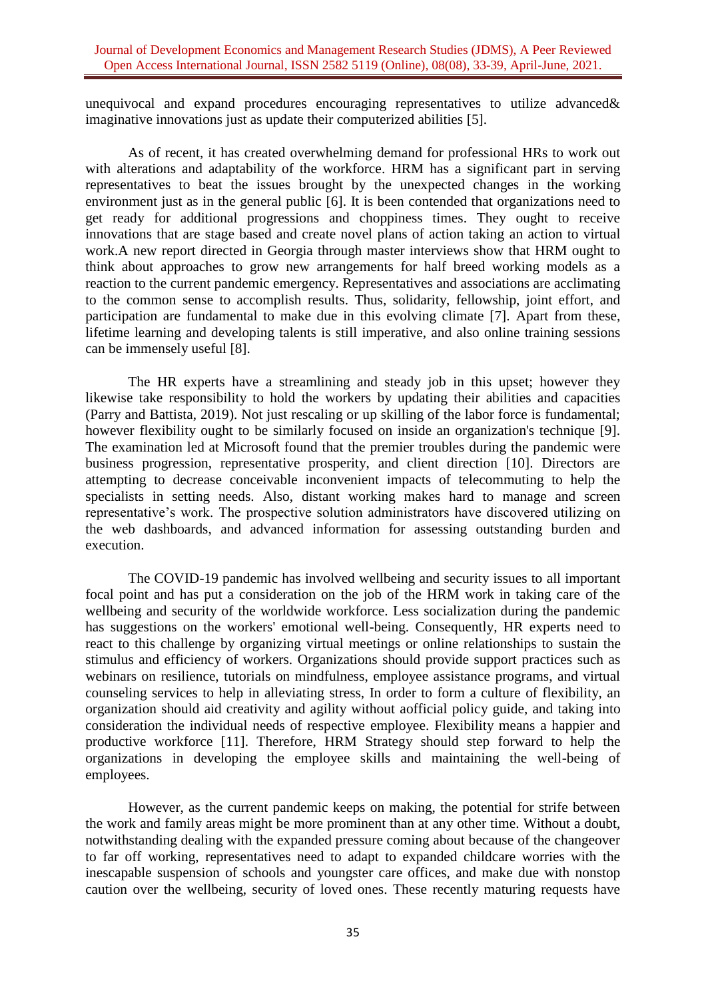unequivocal and expand procedures encouraging representatives to utilize advanced& imaginative innovations just as update their computerized abilities [5].

As of recent, it has created overwhelming demand for professional HRs to work out with alterations and adaptability of the workforce. HRM has a significant part in serving representatives to beat the issues brought by the unexpected changes in the working environment just as in the general public [6]. It is been contended that organizations need to get ready for additional progressions and choppiness times. They ought to receive innovations that are stage based and create novel plans of action taking an action to virtual work.A new report directed in Georgia through master interviews show that HRM ought to think about approaches to grow new arrangements for half breed working models as a reaction to the current pandemic emergency. Representatives and associations are acclimating to the common sense to accomplish results. Thus, solidarity, fellowship, joint effort, and participation are fundamental to make due in this evolving climate [7]. Apart from these, lifetime learning and developing talents is still imperative, and also online training sessions can be immensely useful [8].

The HR experts have a streamlining and steady job in this upset; however they likewise take responsibility to hold the workers by updating their abilities and capacities (Parry and Battista, 2019). Not just rescaling or up skilling of the labor force is fundamental; however flexibility ought to be similarly focused on inside an organization's technique [9]. The examination led at Microsoft found that the premier troubles during the pandemic were business progression, representative prosperity, and client direction [10]. Directors are attempting to decrease conceivable inconvenient impacts of telecommuting to help the specialists in setting needs. Also, distant working makes hard to manage and screen representative's work. The prospective solution administrators have discovered utilizing on the web dashboards, and advanced information for assessing outstanding burden and execution.

The COVID-19 pandemic has involved wellbeing and security issues to all important focal point and has put a consideration on the job of the HRM work in taking care of the wellbeing and security of the worldwide workforce. Less socialization during the pandemic has suggestions on the workers' emotional well-being. Consequently, HR experts need to react to this challenge by organizing virtual meetings or online relationships to sustain the stimulus and efficiency of workers. Organizations should provide support practices such as webinars on resilience, tutorials on mindfulness, employee assistance programs, and virtual counseling services to help in alleviating stress, In order to form a culture of flexibility, an organization should aid creativity and agility without aofficial policy guide, and taking into consideration the individual needs of respective employee. Flexibility means a happier and productive workforce [11]. Therefore, HRM Strategy should step forward to help the organizations in developing the employee skills and maintaining the well-being of employees.

However, as the current pandemic keeps on making, the potential for strife between the work and family areas might be more prominent than at any other time. Without a doubt, notwithstanding dealing with the expanded pressure coming about because of the changeover to far off working, representatives need to adapt to expanded childcare worries with the inescapable suspension of schools and youngster care offices, and make due with nonstop caution over the wellbeing, security of loved ones. These recently maturing requests have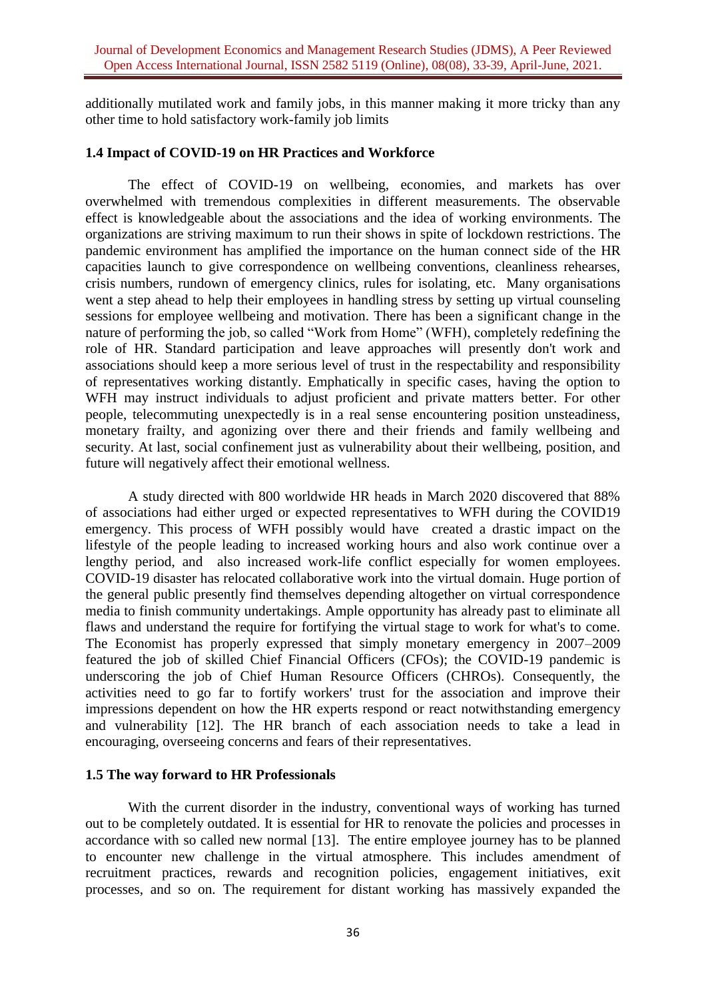additionally mutilated work and family jobs, in this manner making it more tricky than any other time to hold satisfactory work-family job limits

#### **1.4 Impact of COVID-19 on HR Practices and Workforce**

The effect of COVID-19 on wellbeing, economies, and markets has over overwhelmed with tremendous complexities in different measurements. The observable effect is knowledgeable about the associations and the idea of working environments. The organizations are striving maximum to run their shows in spite of lockdown restrictions. The pandemic environment has amplified the importance on the human connect side of the HR capacities launch to give correspondence on wellbeing conventions, cleanliness rehearses, crisis numbers, rundown of emergency clinics, rules for isolating, etc. Many organisations went a step ahead to help their employees in handling stress by setting up virtual counseling sessions for employee wellbeing and motivation. There has been a significant change in the nature of performing the job, so called "Work from Home" (WFH), completely redefining the role of HR. Standard participation and leave approaches will presently don't work and associations should keep a more serious level of trust in the respectability and responsibility of representatives working distantly. Emphatically in specific cases, having the option to WFH may instruct individuals to adjust proficient and private matters better. For other people, telecommuting unexpectedly is in a real sense encountering position unsteadiness, monetary frailty, and agonizing over there and their friends and family wellbeing and security. At last, social confinement just as vulnerability about their wellbeing, position, and future will negatively affect their emotional wellness.

A study directed with 800 worldwide HR heads in March 2020 discovered that 88% of associations had either urged or expected representatives to WFH during the COVID19 emergency. This process of WFH possibly would have created a drastic impact on the lifestyle of the people leading to increased working hours and also work continue over a lengthy period, and also increased work-life conflict especially for women employees. COVID-19 disaster has relocated collaborative work into the virtual domain. Huge portion of the general public presently find themselves depending altogether on virtual correspondence media to finish community undertakings. Ample opportunity has already past to eliminate all flaws and understand the require for fortifying the virtual stage to work for what's to come. The Economist has properly expressed that simply monetary emergency in 2007–2009 featured the job of skilled Chief Financial Officers (CFOs); the COVID-19 pandemic is underscoring the job of Chief Human Resource Officers (CHROs). Consequently, the activities need to go far to fortify workers' trust for the association and improve their impressions dependent on how the HR experts respond or react notwithstanding emergency and vulnerability [12]. The HR branch of each association needs to take a lead in encouraging, overseeing concerns and fears of their representatives.

### **1.5 The way forward to HR Professionals**

With the current disorder in the industry, conventional ways of working has turned out to be completely outdated. It is essential for HR to renovate the policies and processes in accordance with so called new normal [13]. The entire employee journey has to be planned to encounter new challenge in the virtual atmosphere. This includes amendment of recruitment practices, rewards and recognition policies, engagement initiatives, exit processes, and so on. The requirement for distant working has massively expanded the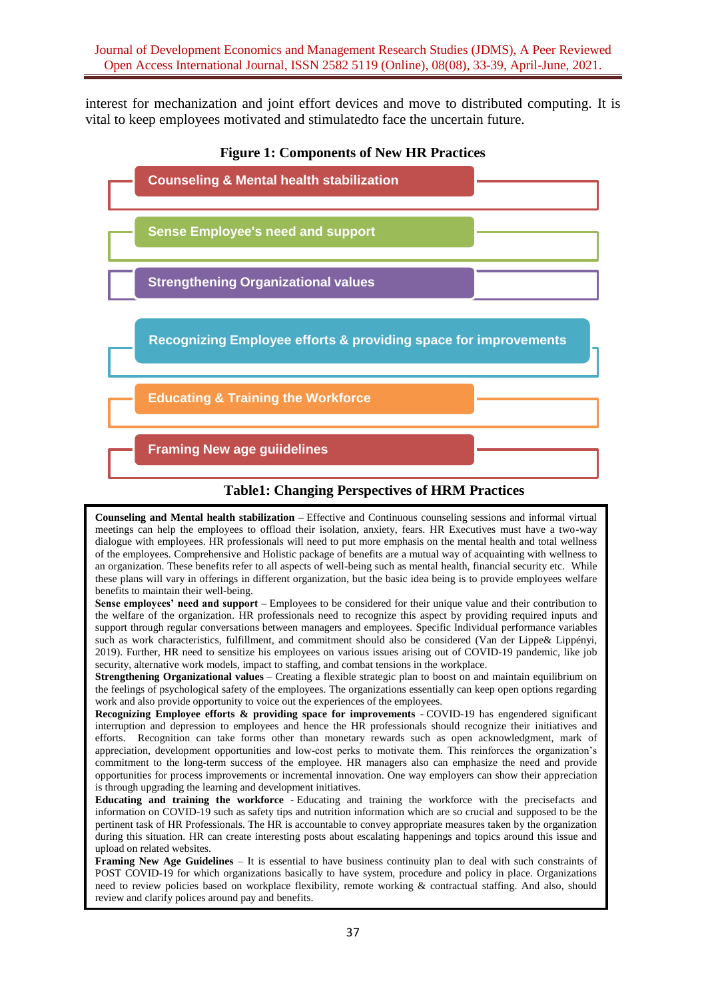interest for mechanization and joint effort devices and move to distributed computing. It is vital to keep employees motivated and stimulatedto face the uncertain future.



# **Table1: Changing Perspectives of HRM Practices**

**Counseling and Mental health stabilization** – Effective and Continuous counseling sessions and informal virtual meetings can help the employees to offload their isolation, anxiety, fears. HR Executives must have a two-way dialogue with employees. HR professionals will need to put more emphasis on the mental health and total wellness of the employees. Comprehensive and Holistic package of benefits are a mutual way of acquainting with wellness to an organization. These benefits refer to all aspects of well-being such as mental health, financial security etc. While these plans will vary in offerings in different organization, but the basic idea being is to provide employees welfare benefits to maintain their well-being.

**Sense employees' need and support** – Employees to be considered for their unique value and their contribution to the welfare of the organization. HR professionals need to recognize this aspect by providing required inputs and support through regular conversations between managers and employees. Specific Individual performance variables such as work characteristics, fulfillment, and commitment should also be considered (Van der Lippe& Lippényi, 2019). Further, HR need to sensitize his employees on various issues arising out of COVID-19 pandemic, like job security, alternative work models, impact to staffing, and combat tensions in the workplace.

**Strengthening Organizational values** – Creating a flexible strategic plan to boost on and maintain equilibrium on the feelings of psychological safety of the employees. The organizations essentially can keep open options regarding work and also provide opportunity to voice out the experiences of the employees.

**Recognizing Employee efforts & providing space for improvements** - COVID-19 has engendered significant interruption and depression to employees and hence the HR professionals should recognize their initiatives and efforts. Recognition can take forms other than monetary rewards such as open acknowledgment, mark of appreciation, development opportunities and low-cost perks to motivate them. This reinforces the organization's commitment to the long-term success of the employee. HR managers also can emphasize the need and provide opportunities for process improvements or incremental innovation. One way employers can show their appreciation is through upgrading the learning and development initiatives.

**Educating and training the workforce** - Educating and training the workforce with the precisefacts and information on COVID-19 such as safety tips and nutrition information which are so crucial and supposed to be the pertinent task of HR Professionals. The HR is accountable to convey appropriate measures taken by the organization during this situation. HR can create interesting posts about escalating happenings and topics around this issue and upload on related websites.

**Framing New Age Guidelines** – It is essential to have business continuity plan to deal with such constraints of POST COVID-19 for which organizations basically to have system, procedure and policy in place. Organizations need to review policies based on workplace flexibility, remote working & contractual staffing. And also, should review and clarify polices around pay and benefits.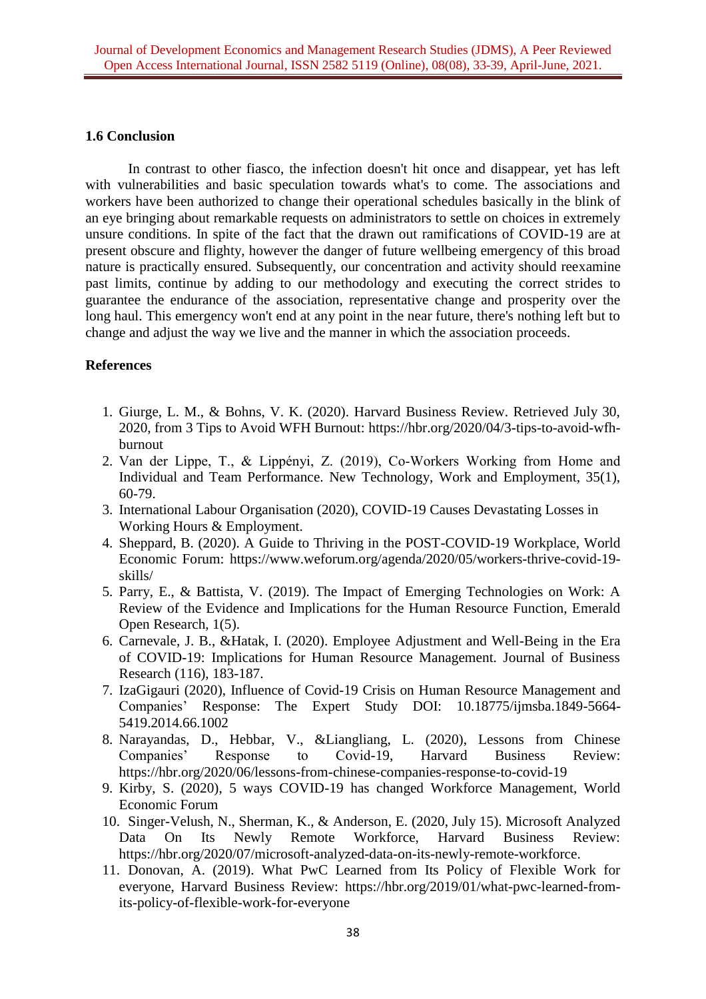## **1.6 Conclusion**

In contrast to other fiasco, the infection doesn't hit once and disappear, yet has left with vulnerabilities and basic speculation towards what's to come. The associations and workers have been authorized to change their operational schedules basically in the blink of an eye bringing about remarkable requests on administrators to settle on choices in extremely unsure conditions. In spite of the fact that the drawn out ramifications of COVID-19 are at present obscure and flighty, however the danger of future wellbeing emergency of this broad nature is practically ensured. Subsequently, our concentration and activity should reexamine past limits, continue by adding to our methodology and executing the correct strides to guarantee the endurance of the association, representative change and prosperity over the long haul. This emergency won't end at any point in the near future, there's nothing left but to change and adjust the way we live and the manner in which the association proceeds.

# **References**

- 1. Giurge, L. M., & Bohns, V. K. (2020). Harvard Business Review. Retrieved July 30, 2020, from 3 Tips to Avoid WFH Burnout: [https://hbr.org/2020/04/3-tips-to-avoid-wfh](https://hbr.org/2020/04/3-tips-to-avoid-wfh-burnout)[burnout](https://hbr.org/2020/04/3-tips-to-avoid-wfh-burnout)
- 2. Van der Lippe, T., & Lippényi, Z. (2019), Co‐Workers Working from Home and Individual and Team Performance. New Technology, Work and Employment, 35(1), 60-79.
- 3. International Labour Organisation (2020), COVID-19 Causes Devastating Losses in Working Hours & Employment.
- 4. Sheppard, B. (2020). A Guide to Thriving in the POST-COVID-19 Workplace, World Economic Forum: [https://www.weforum.org/agenda/2020/05/workers-thrive-covid-19](https://www.weforum.org/agenda/2020/05/workers-thrive-covid-19-skills/) [skills/](https://www.weforum.org/agenda/2020/05/workers-thrive-covid-19-skills/)
- 5. Parry, E., & Battista, V. (2019). The Impact of Emerging Technologies on Work: A Review of the Evidence and Implications for the Human Resource Function, Emerald Open Research, 1(5).
- 6. Carnevale, J. B., &Hatak, I. (2020). Employee Adjustment and Well-Being in the Era of COVID-19: Implications for Human Resource Management. Journal of Business Research (116), 183-187.
- 7. IzaGigauri (2020), Influence of Covid-19 Crisis on Human Resource Management and Companies' Response: The Expert Study DOI: 10.18775/ijmsba.1849-5664- 5419.2014.66.1002
- 8. Narayandas, D., Hebbar, V., &Liangliang, L. (2020), Lessons from Chinese Companies' Response to Covid-19, Harvard Business Review: <https://hbr.org/2020/06/lessons-from-chinese-companies-response-to-covid-19>
- 9. Kirby, S. (2020), 5 ways COVID-19 has changed Workforce Management, World Economic Forum
- 10. Singer-Velush, N., Sherman, K., & Anderson, E. (2020, July 15). Microsoft Analyzed Data On Its Newly Remote Workforce, Harvard Business Review: [https://hbr.org/2020/07/microsoft-analyzed-data-on-its-newly-remote-workforce.](https://hbr.org/2020/07/microsoft-analyzed-data-on-its-newly-remote-workforce)
- 11. Donovan, A. (2019). What PwC Learned from Its Policy of Flexible Work for everyone, Harvard Business Review: [https://hbr.org/2019/01/what-pwc-learned-from](https://hbr.org/2019/01/what-pwc-learned-from-its-policy-of-flexible-work-for-everyone)[its-policy-of-flexible-work-for-everyone](https://hbr.org/2019/01/what-pwc-learned-from-its-policy-of-flexible-work-for-everyone)